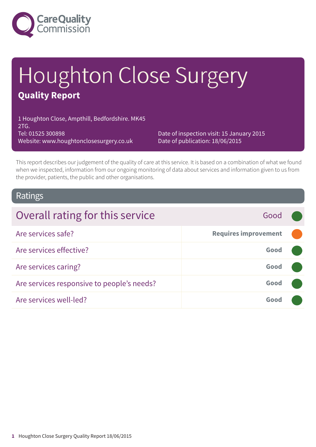

# Houghton Close Surgery **Quality Report**

1 Houghton Close, Ampthill, Bedfordshire. MK45 2TG. Tel: 01525 300898 Website: www.houghtonclosesurgery.co.uk

Date of inspection visit: 15 January 2015 Date of publication: 18/06/2015

This report describes our judgement of the quality of care at this service. It is based on a combination of what we found when we inspected, information from our ongoing monitoring of data about services and information given to us from the provider, patients, the public and other organisations.

### Ratings

| Overall rating for this service            | Good                        |  |
|--------------------------------------------|-----------------------------|--|
| Are services safe?                         | <b>Requires improvement</b> |  |
| Are services effective?                    | Good                        |  |
| Are services caring?                       | Good                        |  |
| Are services responsive to people's needs? | Good                        |  |
| Are services well-led?                     | Good                        |  |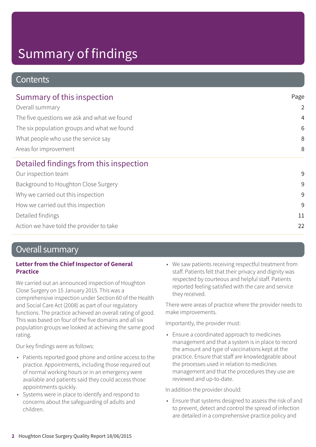# Summary of findings

### **Contents**

| Page<br>$\overline{2}$<br>$\overline{4}$<br>6<br>8<br>8 |   |
|---------------------------------------------------------|---|
|                                                         |   |
|                                                         | 9 |
|                                                         | 9 |
|                                                         | 9 |
|                                                         | 9 |
| 11                                                      |   |
| 22                                                      |   |
|                                                         |   |

### Overall summary

#### **Letter from the Chief Inspector of General Practice**

We carried out an announced inspection of Houghton Close Surgery on 15 January 2015. This was a comprehensive inspection under Section 60 of the Health and Social Care Act (2008) as part of our regulatory functions. The practice achieved an overall rating of good. This was based on four of the five domains and all six population groups we looked at achieving the same good rating.

Our key findings were as follows:

- Patients reported good phone and online access to the practice. Appointments, including those required out of normal working hours or in an emergency were available and patients said they could access those appointments quickly.
- Systems were in place to identify and respond to concerns about the safeguarding of adults and children.

• We saw patients receiving respectful treatment from staff. Patients felt that their privacy and dignity was respected by courteous and helpful staff. Patients reported feeling satisfied with the care and service they received.

There were areas of practice where the provider needs to make improvements.

Importantly, the provider must:

• Ensure a coordinated approach to medicines management and that a system is in place to record the amount and type of vaccinations kept at the practice. Ensure that staff are knowledgeable about the processes used in relation to medicines management and that the procedures they use are reviewed and up-to-date.

In addition the provider should:

• Ensure that systems designed to assess the risk of and to prevent, detect and control the spread of infection are detailed in a comprehensive practice policy and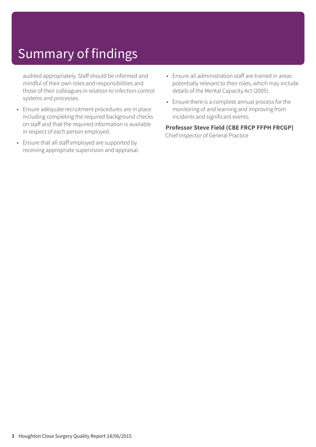# Summary of findings

audited appropriately. Staff should be informed and mindful of their own roles and responsibilities and those of their colleagues in relation to infection control systems and processes.

- Ensure adequate recruitment procedures are in place including completing the required background checks on staff and that the required information is available in respect of each person employed.
- Ensure that all staff employed are supported by receiving appropriate supervision and appraisal.
- Ensure all administration staff are trained in areas potentially relevant to their roles, which may include details of the Mental Capacity Act (2005).
- Ensure there is a complete annual process for the monitoring of and learning and improving from incidents and significant events.

#### **Professor Steve Field (CBE FRCP FFPH FRCGP)** Chief Inspector of General Practice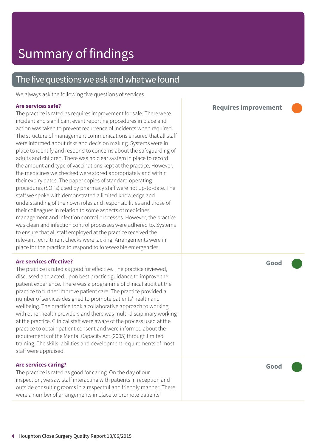### The five questions we ask and what we found

We always ask the following five questions of services.

#### **Are services safe?**

The practice is rated as requires improvement for safe. There were incident and significant event reporting procedures in place and action was taken to prevent recurrence of incidents when required. The structure of management communications ensured that all staff were informed about risks and decision making. Systems were in place to identify and respond to concerns about the safeguarding of adults and children. There was no clear system in place to record the amount and type of vaccinations kept at the practice. However, the medicines we checked were stored appropriately and within their expiry dates. The paper copies of standard operating procedures (SOPs) used by pharmacy staff were not up-to-date. The staff we spoke with demonstrated a limited knowledge and understanding of their own roles and responsibilities and those of their colleagues in relation to some aspects of medicines management and infection control processes. However, the practice was clean and infection control processes were adhered to. Systems to ensure that all staff employed at the practice received the relevant recruitment checks were lacking. Arrangements were in place for the practice to respond to foreseeable emergencies.

#### **Are services effective?**

The practice is rated as good for effective. The practice reviewed, discussed and acted upon best practice guidance to improve the patient experience. There was a programme of clinical audit at the practice to further improve patient care. The practice provided a number of services designed to promote patients' health and wellbeing. The practice took a collaborative approach to working with other health providers and there was multi-disciplinary working at the practice. Clinical staff were aware of the process used at the practice to obtain patient consent and were informed about the requirements of the Mental Capacity Act (2005) through limited training. The skills, abilities and development requirements of most staff were appraised.

#### **Are services caring?**

The practice is rated as good for caring. On the day of our inspection, we saw staff interacting with patients in reception and outside consulting rooms in a respectful and friendly manner. There were a number of arrangements in place to promote patients'

**Requires improvement –––**



**Good –––**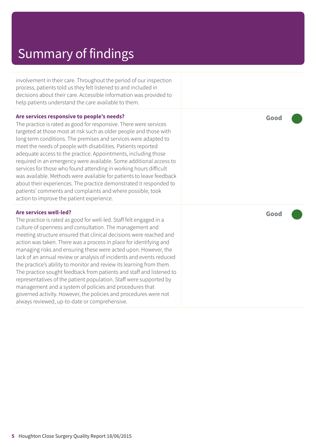### Summary of findings

involvement in their care. Throughout the period of our inspection process, patients told us they felt listened to and included in decisions about their care. Accessible information was provided to help patients understand the care available to them.

#### **Are services responsive to people's needs?**

The practice is rated as good for responsive. There were services targeted at those most at risk such as older people and those with long term conditions. The premises and services were adapted to meet the needs of people with disabilities. Patients reported adequate access to the practice. Appointments, including those required in an emergency were available. Some additional access to services for those who found attending in working hours difficult was available. Methods were available for patients to leave feedback about their experiences. The practice demonstrated it responded to patients' comments and complaints and where possible, took action to improve the patient experience.

#### **Are services well-led?**

The practice is rated as good for well-led. Staff felt engaged in a culture of openness and consultation. The management and meeting structure ensured that clinical decisions were reached and action was taken. There was a process in place for identifying and managing risks and ensuring these were acted upon. However, the lack of an annual review or analysis of incidents and events reduced the practice's ability to monitor and review its learning from them. The practice sought feedback from patients and staff and listened to representatives of the patient population. Staff were supported by management and a system of policies and procedures that governed activity. However, the policies and procedures were not always reviewed, up-to-date or comprehensive.

**Good –––**

**Good –––**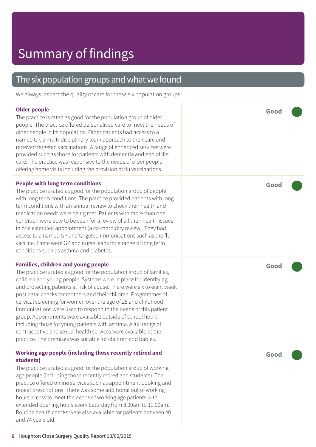### The six population groups and what we found

We always inspect the quality of care for these six population groups.

#### **Older people** The practice is rated as good for the population group of older people. The practice offered personalised care to meet the needs of older people in its population. Older patients had access to a named GP, a multi-disciplinary team approach to their care and received targeted vaccinations. A range of enhanced services were provided such as those for patients with dementia and end of life care. The practice was responsive to the needs of older people offering home visits including the provision of flu vaccinations. **Good ––– People with long term conditions** The practice is rated as good for the population group of people with long term conditions. The practice provided patients with long term conditions with an annual review to check their health and medication needs were being met. Patients with more than one condition were able to be seen for a review of all their health issues in one extended appointment (a co-morbidity review). They had access to a named GP and targeted immunisations such as the flu vaccine. There were GP and nurse leads for a range of long term conditions such as asthma and diabetes. **Good ––– Families, children and young people** The practice is rated as good for the population group of families, children and young people. Systems were in place for identifying and protecting patients at risk of abuse. There were six to eight week post natal checks for mothers and their children. Programmes of cervical screening for women over the age of 25 and childhood immunisations were used to respond to the needs of this patient group. Appointments were available outside of school hours including those for young patients with asthma. A full range of contraceptive and sexual health services were available at the practice. The premises was suitable for children and babies. **Good ––– Working age people (including those recently retired and students)** The practice is rated as good for the population group of working age people (including those recently retired and students). The practice offered online services such as appointment booking and repeat prescriptions. There was some additional out of working **Good –––**

Routine health checks were also available for patients between 40 and 74 years old.

hours access to meet the needs of working age patients with extended opening hours every Saturday from 8.30am to 11.00am.

**6** Houghton Close Surgery Quality Report 18/06/2015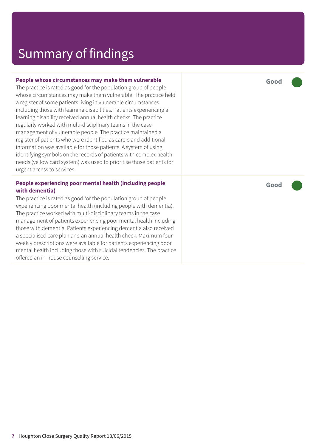### Summary of findings

#### **People whose circumstances may make them vulnerable**

The practice is rated as good for the population group of people whose circumstances may make them vulnerable. The practice held a register of some patients living in vulnerable circumstances including those with learning disabilities. Patients experiencing a learning disability received annual health checks. The practice regularly worked with multi-disciplinary teams in the case management of vulnerable people. The practice maintained a register of patients who were identified as carers and additional information was available for those patients. A system of using identifying symbols on the records of patients with complex health needs (yellow card system) was used to prioritise those patients for urgent access to services.

#### **People experiencing poor mental health (including people with dementia)**

The practice is rated as good for the population group of people experiencing poor mental health (including people with dementia). The practice worked with multi-disciplinary teams in the case management of patients experiencing poor mental health including those with dementia. Patients experiencing dementia also received a specialised care plan and an annual health check. Maximum four weekly prescriptions were available for patients experiencing poor mental health including those with suicidal tendencies. The practice offered an in-house counselling service.

**Good –––**

**Good –––**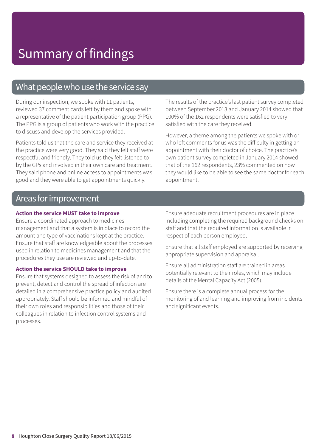### What people who use the service say

During our inspection, we spoke with 11 patients, reviewed 37 comment cards left by them and spoke with a representative of the patient participation group (PPG). The PPG is a group of patients who work with the practice to discuss and develop the services provided.

Patients told us that the care and service they received at the practice were very good. They said they felt staff were respectful and friendly. They told us they felt listened to by the GPs and involved in their own care and treatment. They said phone and online access to appointments was good and they were able to get appointments quickly.

The results of the practice's last patient survey completed between September 2013 and January 2014 showed that 100% of the 162 respondents were satisfied to very satisfied with the care they received.

However, a theme among the patients we spoke with or who left comments for us was the difficulty in getting an appointment with their doctor of choice. The practice's own patient survey completed in January 2014 showed that of the 162 respondents, 23% commented on how they would like to be able to see the same doctor for each appointment.

### Areas for improvement

#### **Action the service MUST take to improve**

Ensure a coordinated approach to medicines management and that a system is in place to record the amount and type of vaccinations kept at the practice. Ensure that staff are knowledgeable about the processes used in relation to medicines management and that the procedures they use are reviewed and up-to-date.

#### **Action the service SHOULD take to improve**

Ensure that systems designed to assess the risk of and to prevent, detect and control the spread of infection are detailed in a comprehensive practice policy and audited appropriately. Staff should be informed and mindful of their own roles and responsibilities and those of their colleagues in relation to infection control systems and processes.

Ensure adequate recruitment procedures are in place including completing the required background checks on staff and that the required information is available in respect of each person employed.

Ensure that all staff employed are supported by receiving appropriate supervision and appraisal.

Ensure all administration staff are trained in areas potentially relevant to their roles, which may include details of the Mental Capacity Act (2005).

Ensure there is a complete annual process for the monitoring of and learning and improving from incidents and significant events.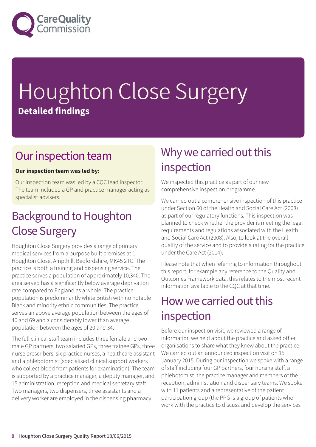

# Houghton Close Surgery **Detailed findings**

### Our inspection team

### **Our inspection team was led by:**

Our inspection team was led by a CQC lead inspector. The team included a GP and practice manager acting as specialist advisers.

### **Background to Houghton** Close Surgery

Houghton Close Surgery provides a range of primary medical services from a purpose built premises at 1 Houghton Close, Ampthill, Bedfordshire, MK45 2TG. The practice is both a training and dispensing service. The practice serves a population of approximately 10,340. The area served has a significantly below average deprivation rate compared to England as a whole. The practice population is predominantly white British with no notable Black and minority ethnic communities. The practice serves an above average population between the ages of 40 and 69 and a considerably lower than average population between the ages of 20 and 34.

The full clinical staff team includes three female and two male GP partners, two salaried GPs, three trainee GPs, three nurse prescribers, six practice nurses, a healthcare assistant and a phlebotomist (specialised clinical support workers who collect blood from patients for examination). The team is supported by a practice manager, a deputy manager, and 15 administration, reception and medical secretary staff. Two managers, two dispensers, three assistants and a delivery worker are employed in the dispensing pharmacy.

### Why we carried out this inspection

We inspected this practice as part of our new comprehensive inspection programme.

We carried out a comprehensive inspection of this practice under Section 60 of the Health and Social Care Act (2008) as part of our regulatory functions. This inspection was planned to check whether the provider is meeting the legal requirements and regulations associated with the Health and Social Care Act (2008). Also, to look at the overall quality of the service and to provide a rating for the practice under the Care Act (2014).

Please note that when referring to information throughout this report, for example any reference to the Quality and Outcomes Framework data, this relates to the most recent information available to the CQC at that time.

### How we carried out this inspection

Before our inspection visit, we reviewed a range of information we held about the practice and asked other organisations to share what they knew about the practice. We carried out an announced inspection visit on 15 January 2015. During our inspection we spoke with a range of staff including four GP partners, four nursing staff, a phlebotomist, the practice manager and members of the reception, administration and dispensary teams. We spoke with 11 patients and a representative of the patient participation group (the PPG is a group of patients who work with the practice to discuss and develop the services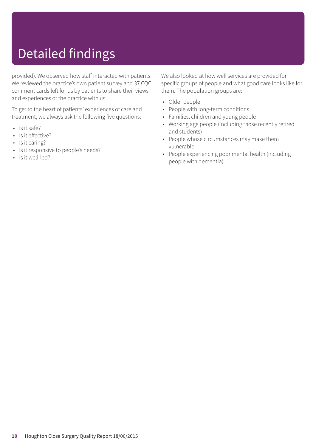# Detailed findings

provided). We observed how staff interacted with patients. We reviewed the practice's own patient survey and 37 CQC comment cards left for us by patients to share their views and experiences of the practice with us.

To get to the heart of patients' experiences of care and treatment, we always ask the following five questions:

- Is it safe?
- Is it effective?
- Is it caring?
- Is it responsive to people's needs?
- Is it well-led?

We also looked at how well services are provided for specific groups of people and what good care looks like for them. The population groups are:

- Older people
- People with long-term conditions
- Families, children and young people
- Working age people (including those recently retired and students)
- People whose circumstances may make them vulnerable
- People experiencing poor mental health (including people with dementia)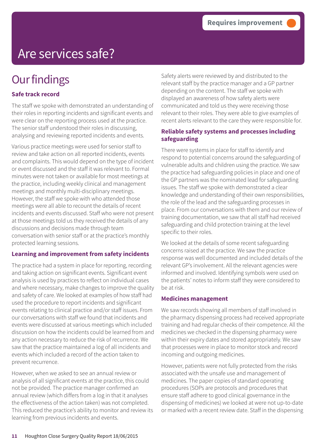# Are services safe?

## **Our findings**

### **Safe track record**

The staff we spoke with demonstrated an understanding of their roles in reporting incidents and significant events and were clear on the reporting process used at the practice. The senior staff understood their roles in discussing, analysing and reviewing reported incidents and events.

Various practice meetings were used for senior staff to review and take action on all reported incidents, events and complaints. This would depend on the type of incident or event discussed and the staff it was relevant to. Formal minutes were not taken or available for most meetings at the practice, including weekly clinical and management meetings and monthly multi-disciplinary meetings. However, the staff we spoke with who attended those meetings were all able to recount the details of recent incidents and events discussed. Staff who were not present at those meetings told us they received the details of any discussions and decisions made through team conversation with senior staff or at the practice's monthly protected learning sessions.

#### **Learning and improvement from safety incidents**

The practice had a system in place for reporting, recording and taking action on significant events. Significant event analysis is used by practices to reflect on individual cases and where necessary, make changes to improve the quality and safety of care. We looked at examples of how staff had used the procedure to report incidents and significant events relating to clinical practice and/or staff issues. From our conversations with staff we found that incidents and events were discussed at various meetings which included discussion on how the incidents could be learned from and any action necessary to reduce the risk of recurrence. We saw that the practice maintained a log of all incidents and events which included a record of the action taken to prevent recurrence.

However, when we asked to see an annual review or analysis of all significant events at the practice, this could not be provided. The practice manager confirmed an annual review (which differs from a log in that it analyses the effectiveness of the action taken) was not completed. This reduced the practice's ability to monitor and review its learning from previous incidents and events.

Safety alerts were reviewed by and distributed to the relevant staff by the practice manager and a GP partner depending on the content. The staff we spoke with displayed an awareness of how safety alerts were communicated and told us they were receiving those relevant to their roles. They were able to give examples of recent alerts relevant to the care they were responsible for.

#### **Reliable safety systems and processes including safeguarding**

There were systems in place for staff to identify and respond to potential concerns around the safeguarding of vulnerable adults and children using the practice. We saw the practice had safeguarding policies in place and one of the GP partners was the nominated lead for safeguarding issues. The staff we spoke with demonstrated a clear knowledge and understanding of their own responsibilities, the role of the lead and the safeguarding processes in place. From our conversations with them and our review of training documentation, we saw that all staff had received safeguarding and child protection training at the level specific to their roles.

We looked at the details of some recent safeguarding concerns raised at the practice. We saw the practice response was well documented and included details of the relevant GP's involvement. All the relevant agencies were informed and involved. Identifying symbols were used on the patients' notes to inform staff they were considered to be at risk.

#### **Medicines management**

We saw records showing all members of staff involved in the pharmacy dispensing process had received appropriate training and had regular checks of their competence. All the medicines we checked in the dispensing pharmacy were within their expiry dates and stored appropriately. We saw that processes were in place to monitor stock and record incoming and outgoing medicines.

However, patients were not fully protected from the risks associated with the unsafe use and management of medicines. The paper copies of standard operating procedures (SOPs are protocols and procedures that ensure staff adhere to good clinical governance in the dispensing of medicines) we looked at were not up-to-date or marked with a recent review date. Staff in the dispensing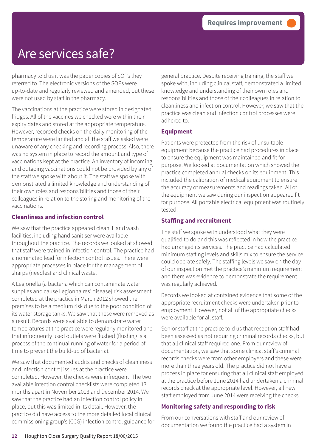### Are services safe?

pharmacy told us it was the paper copies of SOPs they referred to. The electronic versions of the SOPs were up-to-date and regularly reviewed and amended, but these were not used by staff in the pharmacy.

The vaccinations at the practice were stored in designated fridges. All of the vaccines we checked were within their expiry dates and stored at the appropriate temperature. However, recorded checks on the daily monitoring of the temperature were limited and all the staff we asked were unaware of any checking and recording process. Also, there was no system in place to record the amount and type of vaccinations kept at the practice. An inventory of incoming and outgoing vaccinations could not be provided by any of the staff we spoke with about it. The staff we spoke with demonstrated a limited knowledge and understanding of their own roles and responsibilities and those of their colleagues in relation to the storing and monitoring of the vaccinations.

#### **Cleanliness and infection control**

We saw that the practice appeared clean. Hand wash facilities, including hand sanitiser were available throughout the practice. The records we looked at showed that staff were trained in infection control. The practice had a nominated lead for infection control issues. There were appropriate processes in place for the management of sharps (needles) and clinical waste.

A Legionella (a bacteria which can contaminate water supplies and cause Legionnaires' disease) risk assessment completed at the practice in March 2012 showed the premises to be a medium risk due to the poor condition of its water storage tanks. We saw that these were removed as a result. Records were available to demonstrate water temperatures at the practice were regularly monitored and that infrequently used outlets were flushed (flushing is a process of the continual running of water for a period of time to prevent the build-up of bacteria).

We saw that documented audits and checks of cleanliness and infection control issues at the practice were completed. However, the checks were infrequent. The two available infection control checklists were completed 13 months apart in November 2013 and December 2014. We saw that the practice had an infection control policy in place, but this was limited in its detail. However, the practice did have access to the more detailed local clinical commissioning group's (CCG) infection control guidance for general practice. Despite receiving training, the staff we spoke with, including clinical staff, demonstrated a limited knowledge and understanding of their own roles and responsibilities and those of their colleagues in relation to cleanliness and infection control. However, we saw that the practice was clean and infection control processes were adhered to.

### **Equipment**

Patients were protected from the risk of unsuitable equipment because the practice had procedures in place to ensure the equipment was maintained and fit for purpose. We looked at documentation which showed the practice completed annual checks on its equipment. This included the calibration of medical equipment to ensure the accuracy of measurements and readings taken. All of the equipment we saw during our inspection appeared fit for purpose. All portable electrical equipment was routinely tested.

### **Staffing and recruitment**

The staff we spoke with understood what they were qualified to do and this was reflected in how the practice had arranged its services. The practice had calculated minimum staffing levels and skills mix to ensure the service could operate safely. The staffing levels we saw on the day of our inspection met the practice's minimum requirement and there was evidence to demonstrate the requirement was regularly achieved.

Records we looked at contained evidence that some of the appropriate recruitment checks were undertaken prior to employment. However, not all of the appropriate checks were available for all staff.

Senior staff at the practice told us that reception staff had been assessed as not requiring criminal records checks, but that all clinical staff required one. From our review of documentation, we saw that some clinical staff's criminal records checks were from other employers and these were more than three years old. The practice did not have a process in place for ensuring that all clinical staff employed at the practice before June 2014 had undertaken a criminal records check at the appropriate level. However, all new staff employed from June 2014 were receiving the checks.

### **Monitoring safety and responding to risk**

From our conversations with staff and our review of documentation we found the practice had a system in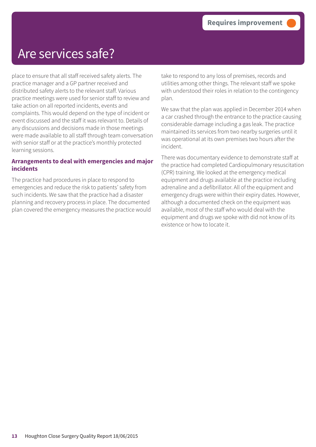### Are services safe?

place to ensure that all staff received safety alerts. The practice manager and a GP partner received and distributed safety alerts to the relevant staff. Various practice meetings were used for senior staff to review and take action on all reported incidents, events and complaints. This would depend on the type of incident or event discussed and the staff it was relevant to. Details of any discussions and decisions made in those meetings were made available to all staff through team conversation with senior staff or at the practice's monthly protected learning sessions.

#### **Arrangements to deal with emergencies and major incidents**

The practice had procedures in place to respond to emergencies and reduce the risk to patients' safety from such incidents. We saw that the practice had a disaster planning and recovery process in place. The documented plan covered the emergency measures the practice would take to respond to any loss of premises, records and utilities among other things. The relevant staff we spoke with understood their roles in relation to the contingency plan.

We saw that the plan was applied in December 2014 when a car crashed through the entrance to the practice causing considerable damage including a gas leak. The practice maintained its services from two nearby surgeries until it was operational at its own premises two hours after the incident.

There was documentary evidence to demonstrate staff at the practice had completed Cardiopulmonary resuscitation (CPR) training. We looked at the emergency medical equipment and drugs available at the practice including adrenaline and a defibrillator. All of the equipment and emergency drugs were within their expiry dates. However, although a documented check on the equipment was available, most of the staff who would deal with the equipment and drugs we spoke with did not know of its existence or how to locate it.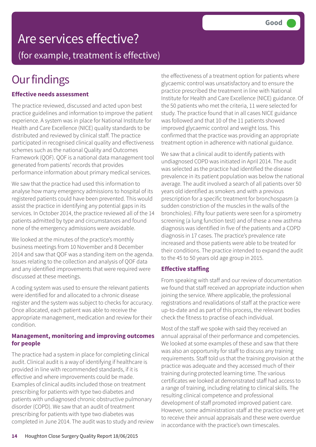## Are services effective? (for example, treatment is effective)

# **Our findings**

### **Effective needs assessment**

The practice reviewed, discussed and acted upon best practice guidelines and information to improve the patient experience. A system was in place for National Institute for Health and Care Excellence (NICE) quality standards to be distributed and reviewed by clinical staff. The practice participated in recognised clinical quality and effectiveness schemes such as the national Quality and Outcomes Framework (QOF). QOF is a national data management tool generated from patients' records that provides performance information about primary medical services.

We saw that the practice had used this information to analyse how many emergency admissions to hospital of its registered patients could have been prevented. This would assist the practice in identifying any potential gaps in its services. In October 2014, the practice reviewed all of the 14 patients admitted by type and circumstances and found none of the emergency admissions were avoidable.

We looked at the minutes of the practice's monthly business meetings from 10 November and 8 December 2014 and saw that QOF was a standing item on the agenda. Issues relating to the collection and analysis of QOF data and any identified improvements that were required were discussed at these meetings.

A coding system was used to ensure the relevant patients were identified for and allocated to a chronic disease register and the system was subject to checks for accuracy. Once allocated, each patient was able to receive the appropriate management, medication and review for their condition.

#### **Management, monitoring and improving outcomes for people**

The practice had a system in place for completing clinical audit. Clinical audit is a way of identifying if healthcare is provided in line with recommended standards, if it is effective and where improvements could be made. Examples of clinical audits included those on treatment prescribing for patients with type two diabetes and patients with undiagnosed chronic obstructive pulmonary disorder (COPD). We saw that an audit of treatment prescribing for patients with type two diabetes was completed in June 2014. The audit was to study and review the effectiveness of a treatment option for patients where glycaemic control was unsatisfactory and to ensure the practice prescribed the treatment in line with National Institute for Health and Care Excellence (NICE) guidance. Of the 50 patients who met the criteria, 11 were selected for study. The practice found that in all cases NICE guidance was followed and that 10 of the 11 patients showed improved glycaemic control and weight loss. This confirmed that the practice was providing an appropriate treatment option in adherence with national guidance.

We saw that a clinical audit to identify patients with undiagnosed COPD was initiated in April 2014. The audit was selected as the practice had identified the disease prevalence in its patient population was below the national average. The audit involved a search of all patients over 50 years old identified as smokers and with a previous prescription for a specific treatment for bronchospasm (a sudden constriction of the muscles in the walls of the bronchioles). Fifty four patients were seen for a spirometry screening (a lung function test) and of these a new asthma diagnosis was identified in five of the patients and a COPD diagnosis in 17 cases. The practice's prevalence rate increased and those patients were able to be treated for their conditions. The practice intended to expand the audit to the 45 to 50 years old age group in 2015.

### **Effective staffing**

From speaking with staff and our review of documentation we found that staff received an appropriate induction when joining the service. Where applicable, the professional registrations and revalidations of staff at the practice were up-to-date and as part of this process, the relevant bodies check the fitness to practise of each individual.

Most of the staff we spoke with said they received an annual appraisal of their performance and competencies. We looked at some examples of these and saw that there was also an opportunity for staff to discuss any training requirements. Staff told us that the training provision at the practice was adequate and they accessed much of their training during protected learning time. The various certificates we looked at demonstrated staff had access to a range of training, including relating to clinical skills. The resulting clinical competence and professional development of staff promoted improved patient care. However, some administration staff at the practice were yet to receive their annual appraisals and these were overdue in accordance with the practice's own timescales.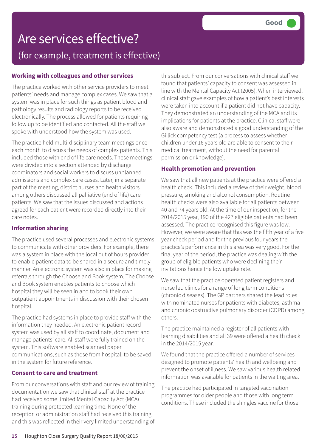## Are services effective? (for example, treatment is effective)

### **Working with colleagues and other services**

The practice worked with other service providers to meet patients' needs and manage complex cases. We saw that a system was in place for such things as patient blood and pathology results and radiology reports to be received electronically. The process allowed for patients requiring follow up to be identified and contacted. All the staff we spoke with understood how the system was used.

The practice held multi-disciplinary team meetings once each month to discuss the needs of complex patients. This included those with end of life care needs. These meetings were divided into a section attended by discharge coordinators and social workers to discuss unplanned admissions and complex care cases. Later, in a separate part of the meeting, district nurses and health visitors among others discussed all palliative (end of life) care patients. We saw that the issues discussed and actions agreed for each patient were recorded directly into their care notes.

### **Information sharing**

The practice used several processes and electronic systems to communicate with other providers. For example, there was a system in place with the local out of hours provider to enable patient data to be shared in a secure and timely manner. An electronic system was also in place for making referrals through the Choose and Book system. The Choose and Book system enables patients to choose which hospital they will be seen in and to book their own outpatient appointments in discussion with their chosen hospital.

The practice had systems in place to provide staff with the information they needed. An electronic patient record system was used by all staff to coordinate, document and manage patients' care. All staff were fully trained on the system. This software enabled scanned paper communications, such as those from hospital, to be saved in the system for future reference.

### **Consent to care and treatment**

From our conversations with staff and our review of training documentation we saw that clinical staff at the practice had received some limited Mental Capacity Act (MCA) training during protected learning time. None of the reception or administration staff had received this training and this was reflected in their very limited understanding of this subject. From our conversations with clinical staff we found that patients' capacity to consent was assessed in line with the Mental Capacity Act (2005). When interviewed, clinical staff gave examples of how a patient's best interests were taken into account if a patient did not have capacity. They demonstrated an understanding of the MCA and its implications for patients at the practice. Clinical staff were also aware and demonstrated a good understanding of the Gillick competency test (a process to assess whether children under 16 years old are able to consent to their medical treatment, without the need for parental permission or knowledge).

### **Health promotion and prevention**

We saw that all new patients at the practice were offered a health check. This included a review of their weight, blood pressure, smoking and alcohol consumption. Routine health checks were also available for all patients between 40 and 74 years old. At the time of our inspection, for the 2014/2015 year, 190 of the 427 eligible patients had been assessed. The practice recognised this figure was low. However, we were aware that this was the fifth year of a five year check period and for the previous four years the practice's performance in this area was very good. For the final year of the period, the practice was dealing with the group of eligible patients who were declining their invitations hence the low uptake rate.

We saw that the practice operated patient registers and nurse led clinics for a range of long term conditions (chronic diseases). The GP partners shared the lead roles with nominated nurses for patients with diabetes, asthma and chronic obstructive pulmonary disorder (COPD) among others.

The practice maintained a register of all patients with learning disabilities and all 39 were offered a health check in the 2014/2015 year.

We found that the practice offered a number of services designed to promote patients' health and wellbeing and prevent the onset of illness. We saw various health related information was available for patients in the waiting area.

The practice had participated in targeted vaccination programmes for older people and those with long term conditions. These included the shingles vaccine for those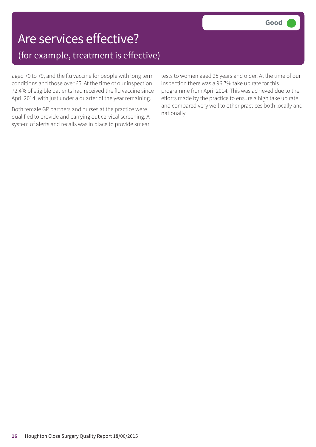### Are services effective? (for example, treatment is effective)

aged 70 to 79, and the flu vaccine for people with long term conditions and those over 65. At the time of our inspection 72.4% of eligible patients had received the flu vaccine since April 2014, with just under a quarter of the year remaining.

Both female GP partners and nurses at the practice were qualified to provide and carrying out cervical screening. A system of alerts and recalls was in place to provide smear

tests to women aged 25 years and older. At the time of our inspection there was a 96.7% take up rate for this programme from April 2014. This was achieved due to the efforts made by the practice to ensure a high take up rate and compared very well to other practices both locally and nationally.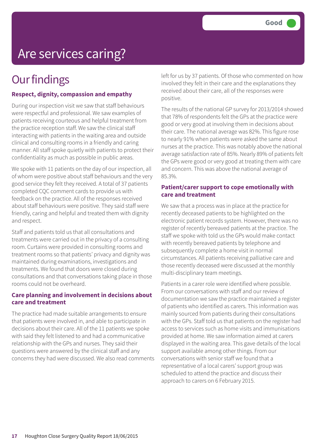# Are services caring?

### **Our findings**

### **Respect, dignity, compassion and empathy**

During our inspection visit we saw that staff behaviours were respectful and professional. We saw examples of patients receiving courteous and helpful treatment from the practice reception staff. We saw the clinical staff interacting with patients in the waiting area and outside clinical and consulting rooms in a friendly and caring manner. All staff spoke quietly with patients to protect their confidentiality as much as possible in public areas.

We spoke with 11 patients on the day of our inspection, all of whom were positive about staff behaviours and the very good service they felt they received. A total of 37 patients completed CQC comment cards to provide us with feedback on the practice. All of the responses received about staff behaviours were positive. They said staff were friendly, caring and helpful and treated them with dignity and respect.

Staff and patients told us that all consultations and treatments were carried out in the privacy of a consulting room. Curtains were provided in consulting rooms and treatment rooms so that patients' privacy and dignity was maintained during examinations, investigations and treatments. We found that doors were closed during consultations and that conversations taking place in those rooms could not be overheard.

#### **Care planning and involvement in decisions about care and treatment**

The practice had made suitable arrangements to ensure that patients were involved in, and able to participate in decisions about their care. All of the 11 patients we spoke with said they felt listened to and had a communicative relationship with the GPs and nurses. They said their questions were answered by the clinical staff and any concerns they had were discussed. We also read comments left for us by 37 patients. Of those who commented on how involved they felt in their care and the explanations they received about their care, all of the responses were positive.

The results of the national GP survey for 2013/2014 showed that 78% of respondents felt the GPs at the practice were good or very good at involving them in decisions about their care. The national average was 82%. This figure rose to nearly 91% when patients were asked the same about nurses at the practice. This was notably above the national average satisfaction rate of 85%. Nearly 89% of patients felt the GPs were good or very good at treating them with care and concern. This was above the national average of 85.3%.

#### **Patient/carer support to cope emotionally with care and treatment**

We saw that a process was in place at the practice for recently deceased patients to be highlighted on the electronic patient records system. However, there was no register of recently bereaved patients at the practice. The staff we spoke with told us the GPs would make contact with recently bereaved patients by telephone and subsequently complete a home visit in normal circumstances. All patients receiving palliative care and those recently deceased were discussed at the monthly multi-disciplinary team meetings.

Patients in a carer role were identified where possible. From our conversations with staff and our review of documentation we saw the practice maintained a register of patients who identified as carers. This information was mainly sourced from patients during their consultations with the GPs. Staff told us that patients on the register had access to services such as home visits and immunisations provided at home. We saw information aimed at carers displayed in the waiting area. This gave details of the local support available among other things. From our conversations with senior staff we found that a representative of a local carers' support group was scheduled to attend the practice and discuss their approach to carers on 6 February 2015.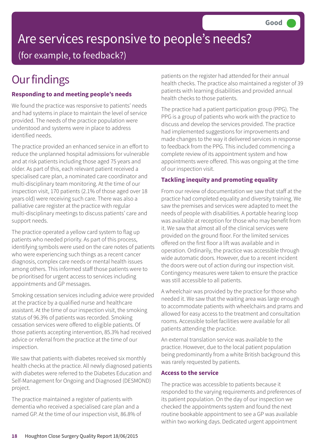# Are services responsive to people's needs?

(for example, to feedback?)

# **Our findings**

### **Responding to and meeting people's needs**

We found the practice was responsive to patients' needs and had systems in place to maintain the level of service provided. The needs of the practice population were understood and systems were in place to address identified needs.

The practice provided an enhanced service in an effort to reduce the unplanned hospital admissions for vulnerable and at risk patients including those aged 75 years and older. As part of this, each relevant patient received a specialised care plan, a nominated care coordinator and multi-disciplinary team monitoring. At the time of our inspection visit, 170 patients (2.1% of those aged over 18 years old) were receiving such care. There was also a palliative care register at the practice with regular multi-disciplinary meetings to discuss patients' care and support needs.

The practice operated a yellow card system to flag up patients who needed priority. As part of this process, identifying symbols were used on the care notes of patients who were experiencing such things as a recent cancer diagnosis, complex care needs or mental health issues among others. This informed staff those patients were to be prioritised for urgent access to services including appointments and GP messages.

Smoking cessation services including advice were provided at the practice by a qualified nurse and healthcare assistant. At the time of our inspection visit, the smoking status of 96.3% of patients was recorded. Smoking cessation services were offered to eligible patients. Of those patients accepting intervention, 85.3% had received advice or referral from the practice at the time of our inspection.

We saw that patients with diabetes received six monthly health checks at the practice. All newly diagnosed patients with diabetes were referred to the Diabetes Education and Self-Management for Ongoing and Diagnosed (DESMOND) project.

The practice maintained a register of patients with dementia who received a specialised care plan and a named GP. At the time of our inspection visit, 86.8% of patients on the register had attended for their annual health checks. The practice also maintained a register of 39 patients with learning disabilities and provided annual health checks to those patients.

The practice had a patient participation group (PPG). The PPG is a group of patients who work with the practice to discuss and develop the services provided. The practice had implemented suggestions for improvements and made changes to the way it delivered services in response to feedback from the PPG. This included commencing a complete review of its appointment system and how appointments were offered. This was ongoing at the time of our inspection visit.

### **Tackling inequity and promoting equality**

From our review of documentation we saw that staff at the practice had completed equality and diversity training. We saw the premises and services were adapted to meet the needs of people with disabilities. A portable hearing loop was available at reception for those who may benefit from it. We saw that almost all of the clinical services were provided on the ground floor. For the limited services offered on the first floor a lift was available and in operation. Ordinarily, the practice was accessible through wide automatic doors. However, due to a recent incident the doors were out of action during our inspection visit. Contingency measures were taken to ensure the practice was still accessible to all patients.

A wheelchair was provided by the practice for those who needed it. We saw that the waiting area was large enough to accommodate patients with wheelchairs and prams and allowed for easy access to the treatment and consultation rooms. Accessible toilet facilities were available for all patients attending the practice.

An external translation service was available to the practice. However, due to the local patient population being predominantly from a white British background this was rarely requested by patients.

### **Access to the service**

The practice was accessible to patients because it responded to the varying requirements and preferences of its patient population. On the day of our inspection we checked the appointments system and found the next routine bookable appointment to see a GP was available within two working days. Dedicated urgent appointment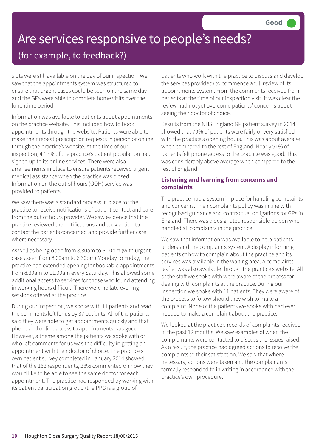### Are services responsive to people's needs? (for example, to feedback?)

slots were still available on the day of our inspection. We saw that the appointments system was structured to ensure that urgent cases could be seen on the same day and the GPs were able to complete home visits over the lunchtime period.

Information was available to patients about appointments on the practice website. This included how to book appointments through the website. Patients were able to make their repeat prescription requests in person or online through the practice's website. At the time of our inspection, 47.7% of the practice's patient population had signed up to its online services. There were also arrangements in place to ensure patients received urgent medical assistance when the practice was closed. Information on the out of hours (OOH) service was provided to patients.

We saw there was a standard process in place for the practice to receive notifications of patient contact and care from the out of hours provider. We saw evidence that the practice reviewed the notifications and took action to contact the patients concerned and provide further care where necessary.

As well as being open from 8.30am to 6.00pm (with urgent cases seen from 8.00am to 6.30pm) Monday to Friday, the practice had extended opening for bookable appointments from 8.30am to 11.00am every Saturday. This allowed some additional access to services for those who found attending in working hours difficult. There were no late evening sessions offered at the practice.

During our inspection, we spoke with 11 patients and read the comments left for us by 37 patients. All of the patients said they were able to get appointments quickly and that phone and online access to appointments was good. However, a theme among the patients we spoke with or who left comments for us was the difficulty in getting an appointment with their doctor of choice. The practice's own patient survey completed in January 2014 showed that of the 162 respondents, 23% commented on how they would like to be able to see the same doctor for each appointment. The practice had responded by working with its patient participation group (the PPG is a group of

patients who work with the practice to discuss and develop the services provided) to commence a full review of its appointments system. From the comments received from patients at the time of our inspection visit, it was clear the review had not yet overcome patients' concerns about seeing their doctor of choice.

Results from the NHS England GP patient survey in 2014 showed that 79% of patients were fairly or very satisfied with the practice's opening hours. This was about average when compared to the rest of England. Nearly 91% of patients felt phone access to the practice was good. This was considerably above average when compared to the rest of England.

#### **Listening and learning from concerns and complaints**

The practice had a system in place for handling complaints and concerns. Their complaints policy was in line with recognised guidance and contractual obligations for GPs in England. There was a designated responsible person who handled all complaints in the practice.

We saw that information was available to help patients understand the complaints system. A display informing patients of how to complain about the practice and its services was available in the waiting area. A complaints leaflet was also available through the practice's website. All of the staff we spoke with were aware of the process for dealing with complaints at the practice. During our inspection we spoke with 11 patients. They were aware of the process to follow should they wish to make a complaint. None of the patients we spoke with had ever needed to make a complaint about the practice.

We looked at the practice's records of complaints received in the past 12 months. We saw examples of when the complainants were contacted to discuss the issues raised. As a result, the practice had agreed actions to resolve the complaints to their satisfaction. We saw that where necessary, actions were taken and the complainants formally responded to in writing in accordance with the practice's own procedure.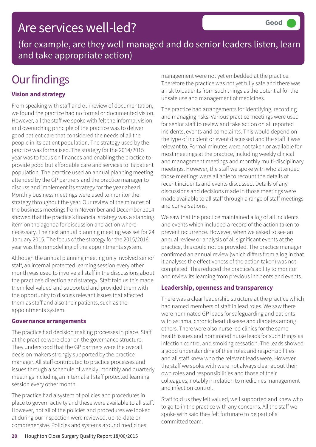### Are services well-led?

(for example, are they well-managed and do senior leaders listen, learn and take appropriate action)

# **Our findings**

### **Vision and strategy**

From speaking with staff and our review of documentation, we found the practice had no formal or documented vision. However, all the staff we spoke with felt the informal vision and overarching principle of the practice was to deliver good patient care that considered the needs of all the people in its patient population. The strategy used by the practice was formalised. The strategy for the 2014/2015 year was to focus on finances and enabling the practice to provide good but affordable care and services to its patient population. The practice used an annual planning meeting attended by the GP partners and the practice manager to discuss and implement its strategy for the year ahead. Monthly business meetings were used to monitor the strategy throughout the year. Our review of the minutes of the business meetings from November and December 2014 showed that the practice's financial strategy was a standing item on the agenda for discussion and action where necessary. The next annual planning meeting was set for 24 January 2015. The focus of the strategy for the 2015/2016 year was the remodelling of the appointments system.

Although the annual planning meeting only involved senior staff, an internal protected learning session every other month was used to involve all staff in the discussions about the practice's direction and strategy. Staff told us this made them feel valued and supported and provided them with the opportunity to discuss relevant issues that affected them as staff and also their patients, such as the appointments system.

### **Governance arrangements**

The practice had decision making processes in place. Staff at the practice were clear on the governance structure. They understood that the GP partners were the overall decision makers strongly supported by the practice manager. All staff contributed to practice processes and issues through a schedule of weekly, monthly and quarterly meetings including an internal all staff protected learning session every other month.

The practice had a system of policies and procedures in place to govern activity and these were available to all staff. However, not all of the policies and procedures we looked at during our inspection were reviewed, up-to-date or comprehensive. Policies and systems around medicines

management were not yet embedded at the practice. Therefore the practice was not yet fully safe and there was a risk to patients from such things as the potential for the unsafe use and management of medicines.

The practice had arrangements for identifying, recording and managing risks. Various practice meetings were used for senior staff to review and take action on all reported incidents, events and complaints. This would depend on the type of incident or event discussed and the staff it was relevant to. Formal minutes were not taken or available for most meetings at the practice, including weekly clinical and management meetings and monthly multi-disciplinary meetings. However, the staff we spoke with who attended those meetings were all able to recount the details of recent incidents and events discussed. Details of any discussions and decisions made in those meetings were made available to all staff through a range of staff meetings and conversations.

We saw that the practice maintained a log of all incidents and events which included a record of the action taken to prevent recurrence. However, when we asked to see an annual review or analysis of all significant events at the practice, this could not be provided. The practice manager confirmed an annual review (which differs from a log in that it analyses the effectiveness of the action taken) was not completed. This reduced the practice's ability to monitor and review its learning from previous incidents and events.

### **Leadership, openness and transparency**

There was a clear leadership structure at the practice which had named members of staff in lead roles. We saw there were nominated GP leads for safeguarding and patients with asthma, chronic heart disease and diabetes among others. There were also nurse led clinics for the same health issues and nominated nurse leads for such things as infection control and smoking cessation. The leads showed a good understanding of their roles and responsibilities and all staff knew who the relevant leads were. However, the staff we spoke with were not always clear about their own roles and responsibilities and those of their colleagues, notably in relation to medicines management and infection control.

Staff told us they felt valued, well supported and knew who to go to in the practice with any concerns. All the staff we spoke with said they felt fortunate to be part of a committed team.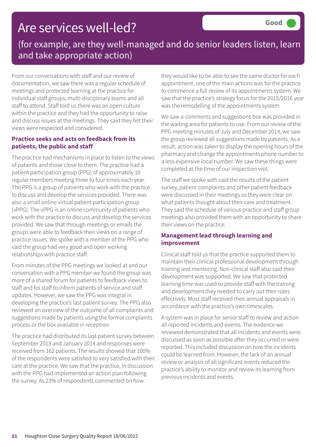### Are services well-led?

### (for example, are they well-managed and do senior leaders listen, learn and take appropriate action)

From our conversations with staff and our review of documentation, we saw there was a regular schedule of meetings and protected learning at the practice for individual staff groups, multi-disciplinary teams and all staff to attend. Staff told us there was an open culture within the practice and they had the opportunity to raise and discuss issues at the meetings. They said they felt their views were respected and considered.

#### **Practice seeks and acts on feedback from its patients, the public and staff**

The practice had mechanisms in place to listen to the views of patients and those close to them. The practice had a patient participation group (PPG) of approximately 10 regular members meeting three to four times each year. The PPG is a group of patients who work with the practice to discuss and develop the services provided. There was also a small online virtual patient participation group (vPPG). The vPPG is an online community of patients who work with the practice to discuss and develop the services provided. We saw that through meetings or emails the groups were able to feedback their views on a range of practice issues. We spoke with a member of the PPG who said the group had very good and open working relationships with practice staff.

From minutes of the PPG meetings we looked at and our conversation with a PPG member we found the group was more of a shared forum for patients to feedback views to staff and for staff to inform patients of service and staff updates. However, we saw the PPG was integral in developing the practice's last patient survey. The PPG also reviewed an overview of the outcome of all complaints and suggestions made by patients using the formal complaints process or the box available in reception.

The practice had distributed its last patient survey between September 2013 and January 2014 and responses were received from 162 patients. The results showed that 100% of the respondents were satisfied to very satisfied with their care at the practice. We saw that the practice, in discussion with the PPG had implemented an action plan following the survey. As 23% of respondents commented on how

they would like to be able to see the same doctor for each appointment, one of the main actions was for the practice to commence a full review of its appointments system. We saw that the practice's strategy focus for the 2015/2016 year was the remodelling of the appointments system.

We saw a comments and suggestions box was provided in the waiting area for patients to use. From our review of the PPG meeting minutes of July and December 2014, we saw the group reviewed all suggestions made by patients. As a result, action was taken to display the opening hours of the pharmacy and change the appointments phone number to a less expensive local number. We saw these things were completed at the time of our inspection visit.

The staff we spoke with said the results of the patient survey, patient complaints and other patient feedback were discussed in their meetings so they were clear on what patients thought about their care and treatment. They said the schedule of various practice and staff group meetings also provided them with an opportunity to share their views on the practice.

### **Management lead through learning and improvement**

Clinical staff told us that the practice supported them to maintain their clinical professional development through training and mentoring. Non-clinical staff also said their development was supported. We saw that protected learning time was used to provide staff with the training and development they needed to carry out their roles effectively. Most staff received their annual appraisals in accordance with the practice's own timescales.

A system was in place for senior staff to review and action all reported incidents and events. The evidence we reviewed demonstrated that all incidents and events were discussed as soon as possible after they occurred or were reported. This included discussion on how the incidents could be learned from. However, the lack of an annual review or analysis of all significant events reduced the practice's ability to monitor and review its learning from previous incidents and events.